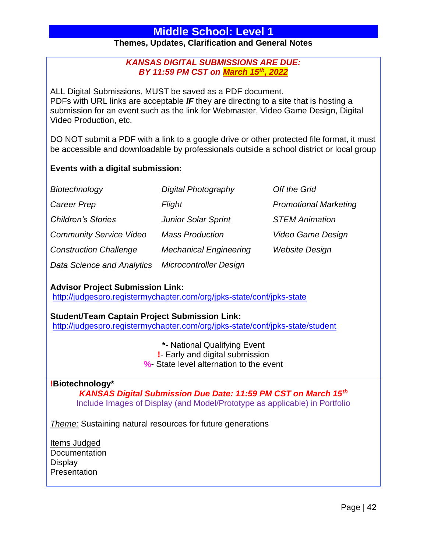# **Themes, Updates, Clarification and General Notes**

# *KANSAS DIGITAL SUBMISSIONS ARE DUE: BY 11:59 PM CST on March 15th, 2022*

ALL Digital Submissions, MUST be saved as a PDF document. PDFs with URL links are acceptable *IF* they are directing to a site that is hosting a submission for an event such as the link for Webmaster, Video Game Design, Digital Video Production, etc.

DO NOT submit a PDF with a link to a google drive or other protected file format, it must be accessible and downloadable by professionals outside a school district or local group

# **Events with a digital submission:**

| Biotechnology                     | <b>Digital Photography</b>    | Off the Grid                 |
|-----------------------------------|-------------------------------|------------------------------|
| <b>Career Prep</b>                | Flight                        | <b>Promotional Marketing</b> |
| <b>Children's Stories</b>         | <b>Junior Solar Sprint</b>    | <b>STEM Animation</b>        |
| <b>Community Service Video</b>    | <b>Mass Production</b>        | Video Game Design            |
| <b>Construction Challenge</b>     | <b>Mechanical Engineering</b> | <b>Website Design</b>        |
| <b>Data Science and Analytics</b> | <b>Microcontroller Design</b> |                              |

# **Advisor Project Submission Link:**

<http://judgespro.registermychapter.com/org/jpks-state/conf/jpks-state>

# **Student/Team Captain Project Submission Link:**

<http://judgespro.registermychapter.com/org/jpks-state/conf/jpks-state/student>

**\***- National Qualifying Event

**!**- Early and digital submission

**%**- State level alternation to the event

# **!Biotechnology\***

*KANSAS Digital Submission Due Date: 11:59 PM CST on March 15th* Include Images of Display (and Model/Prototype as applicable) in Portfolio

*Theme:* Sustaining natural resources for future generations

Items Judged **Documentation Display Presentation**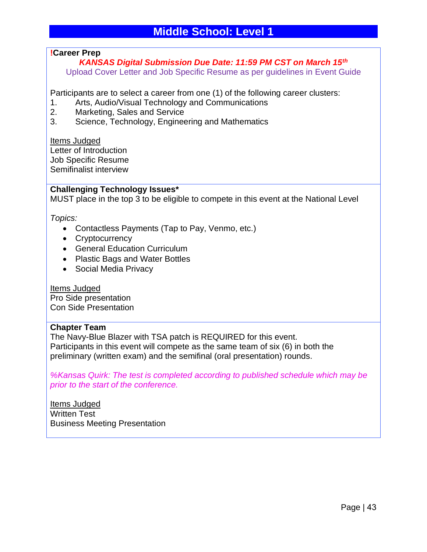# **!Career Prep**

*KANSAS Digital Submission Due Date: 11:59 PM CST on March 15th* Upload Cover Letter and Job Specific Resume as per guidelines in Event Guide

Participants are to select a career from one (1) of the following career clusters:

- 1. Arts, Audio/Visual Technology and Communications
- 2. Marketing, Sales and Service
- 3. Science, Technology, Engineering and Mathematics

Items Judged Letter of Introduction Job Specific Resume Semifinalist interview

#### **Challenging Technology Issues\***

MUST place in the top 3 to be eligible to compete in this event at the National Level

*Topics:*

- Contactless Payments (Tap to Pay, Venmo, etc.)
- Cryptocurrency
- General Education Curriculum
- Plastic Bags and Water Bottles
- Social Media Privacy

Items Judged Pro Side presentation Con Side Presentation

#### **Chapter Team**

The Navy-Blue Blazer with TSA patch is REQUIRED for this event. Participants in this event will compete as the same team of six (6) in both the preliminary (written exam) and the semifinal (oral presentation) rounds.

*%Kansas Quirk: The test is completed according to published schedule which may be prior to the start of the conference.* 

Items Judged Written Test Business Meeting Presentation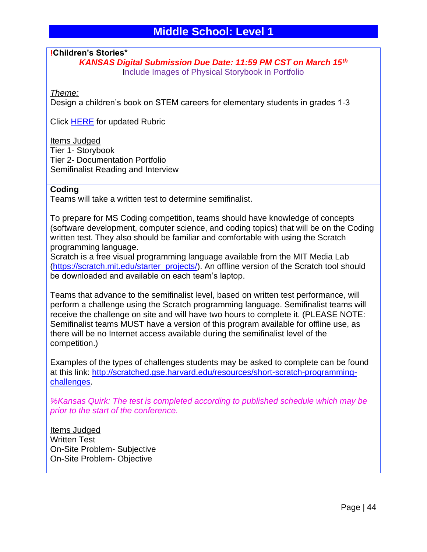**!Children's Stories\***

*KANSAS Digital Submission Due Date: 11:59 PM CST on March 15th* Include Images of Physical Storybook in Portfolio

*Theme:* 

Design a children's book on STEM careers for elementary students in grades 1-3

Click [HERE](https://tsaweb.org/docs/default-source/themes-and-problems-2018-2019/rubrics/ms-rubric---childrens-stories.pdf?sfvrsn=387c041d_2) for updated Rubric

Items Judged Tier 1- Storybook Tier 2- Documentation Portfolio Semifinalist Reading and Interview

#### **Coding**

Teams will take a written test to determine semifinalist.

To prepare for MS Coding competition, teams should have knowledge of concepts (software development, computer science, and coding topics) that will be on the Coding written test. They also should be familiar and comfortable with using the Scratch programming language.

Scratch is a free visual programming language available from the MIT Media Lab [\(https://scratch.mit.edu/starter\\_projects/\)](https://scratch.mit.edu/starter_projects/). An offline version of the Scratch tool should be downloaded and available on each team's laptop.

Teams that advance to the semifinalist level, based on written test performance, will perform a challenge using the Scratch programming language. Semifinalist teams will receive the challenge on site and will have two hours to complete it. (PLEASE NOTE: Semifinalist teams MUST have a version of this program available for offline use, as there will be no Internet access available during the semifinalist level of the competition.)

Examples of the types of challenges students may be asked to complete can be found at this link: [http://scratched.gse.harvard.edu/resources/short-scratch-programming](http://scratched.gse.harvard.edu/resources/short-scratch-programming-challenges)[challenges.](http://scratched.gse.harvard.edu/resources/short-scratch-programming-challenges)

*%Kansas Quirk: The test is completed according to published schedule which may be prior to the start of the conference.* 

Items Judged Written Test On-Site Problem- Subjective On-Site Problem- Objective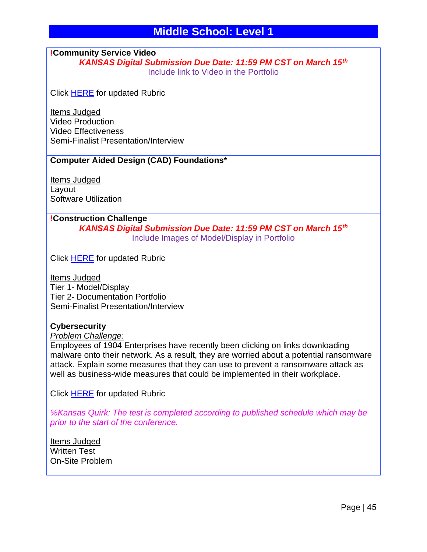# **!Community Service Video**

*KANSAS Digital Submission Due Date: 11:59 PM CST on March 15th* Include link to Video in the Portfolio

Click [HERE](https://tsaweb.org/docs/default-source/themes-and-problems-2018-2019/rubrics/ms-rubric---community-service-video_jan_edit.pdf?sfvrsn=b0054b27_0) for updated Rubric

Items Judged Video Production Video Effectiveness Semi-Finalist Presentation/Interview

# **Computer Aided Design (CAD) Foundations\***

Items Judged Layout Software Utilization

# **!Construction Challenge**

*KANSAS Digital Submission Due Date: 11:59 PM CST on March 15th* Include Images of Model/Display in Portfolio

Click [HERE](https://tsaweb.org/docs/default-source/themes-and-problems-2018-2019/rubrics/ms-rubric---construction-challenge.pdf?sfvrsn=70eb799a_2) for updated Rubric

Items Judged Tier 1- Model/Display Tier 2- Documentation Portfolio Semi-Finalist Presentation/Interview

#### **Cybersecurity**

#### *Problem Challenge:*

Employees of 1904 Enterprises have recently been clicking on links downloading malware onto their network. As a result, they are worried about a potential ransomware attack. Explain some measures that they can use to prevent a ransomware attack as well as business-wide measures that could be implemented in their workplace.

Click [HERE](https://tsaweb.org/docs/default-source/themes-and-problems-2018-2019/rubrics/ms-rubric---cybersecurity.pdf?sfvrsn=15a9c084_2) for updated Rubric

*%Kansas Quirk: The test is completed according to published schedule which may be prior to the start of the conference.* 

Items Judged Written Test On-Site Problem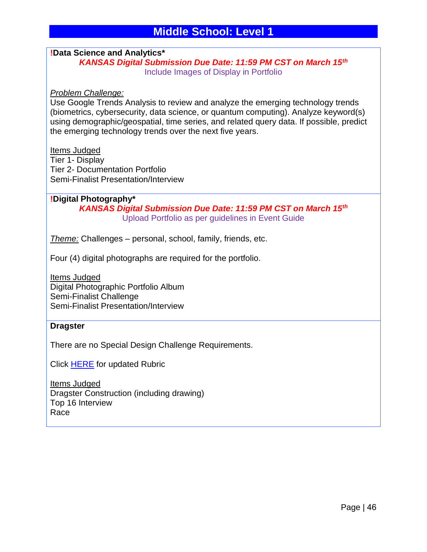#### **!Data Science and Analytics\*** *KANSAS Digital Submission Due Date: 11:59 PM CST on March 15th* Include Images of Display in Portfolio

#### *Problem Challenge:*

Use Google Trends Analysis to review and analyze the emerging technology trends (biometrics, cybersecurity, data science, or quantum computing). Analyze keyword(s) using demographic/geospatial, time series, and related query data. If possible, predict the emerging technology trends over the next five years.

#### Items Judged

Tier 1- Display Tier 2- Documentation Portfolio Semi-Finalist Presentation/Interview

**!Digital Photography\*** *KANSAS Digital Submission Due Date: 11:59 PM CST on March 15th* Upload Portfolio as per guidelines in Event Guide

*Theme:* Challenges – personal, school, family, friends, etc.

Four (4) digital photographs are required for the portfolio.

Items Judged Digital Photographic Portfolio Album Semi-Finalist Challenge Semi-Finalist Presentation/Interview

#### **Dragster**

There are no Special Design Challenge Requirements.

Click [HERE](https://tsaweb.org/docs/default-source/themes-and-problems-2018-2019/rubrics/ms-rubric---dragster.pdf?sfvrsn=d9b66ea1_2) for updated Rubric

Items Judged Dragster Construction (including drawing) Top 16 Interview Race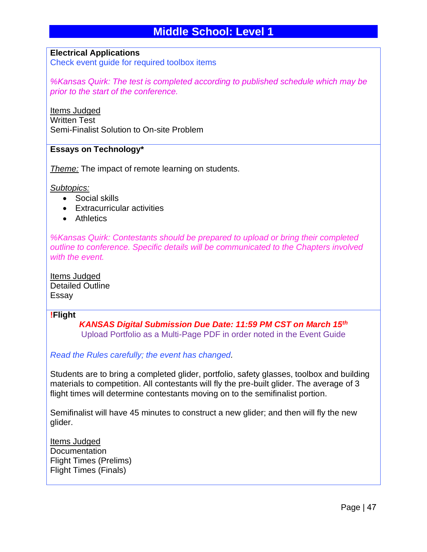#### **Electrical Applications**

Check event guide for required toolbox items

*%Kansas Quirk: The test is completed according to published schedule which may be prior to the start of the conference.* 

Items Judged Written Test Semi-Finalist Solution to On-site Problem

#### **Essays on Technology\***

*Theme:* The impact of remote learning on students.

*Subtopics:*

- Social skills
- Extracurricular activities
- Athletics

*%Kansas Quirk: Contestants should be prepared to upload or bring their completed outline to conference. Specific details will be communicated to the Chapters involved with the event.* 

Items Judged Detailed Outline Essay

#### **!Flight**

*KANSAS Digital Submission Due Date: 11:59 PM CST on March 15th* Upload Portfolio as a Multi-Page PDF in order noted in the Event Guide

#### *Read the Rules carefully; the event has changed.*

Students are to bring a completed glider, portfolio, safety glasses, toolbox and building materials to competition. All contestants will fly the pre-built glider. The average of 3 flight times will determine contestants moving on to the semifinalist portion.

Semifinalist will have 45 minutes to construct a new glider; and then will fly the new glider.

Items Judged **Documentation** Flight Times (Prelims) Flight Times (Finals)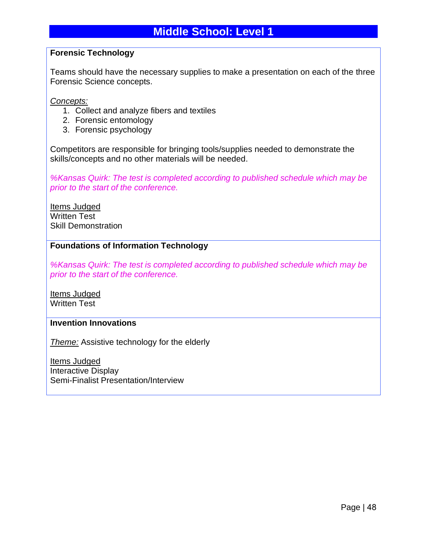## **Forensic Technology**

Teams should have the necessary supplies to make a presentation on each of the three Forensic Science concepts.

*Concepts:*

- 1. Collect and analyze fibers and textiles
- 2. Forensic entomology
- 3. Forensic psychology

Competitors are responsible for bringing tools/supplies needed to demonstrate the skills/concepts and no other materials will be needed.

*%Kansas Quirk: The test is completed according to published schedule which may be prior to the start of the conference.* 

Items Judged Written Test Skill Demonstration

# **Foundations of Information Technology**

*%Kansas Quirk: The test is completed according to published schedule which may be prior to the start of the conference.* 

Items Judged Written Test

# **Invention Innovations**

*Theme:* Assistive technology for the elderly

Items Judged Interactive Display Semi-Finalist Presentation/Interview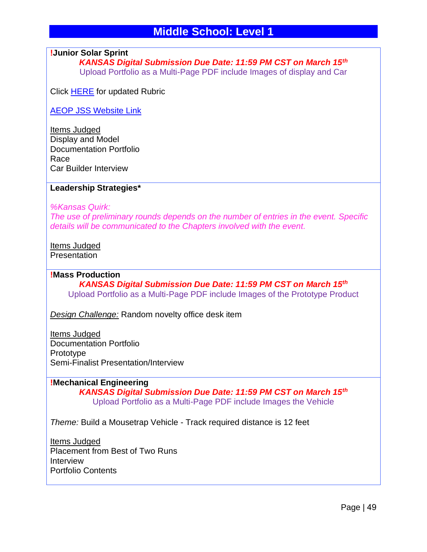## **!Junior Solar Sprint**

*KANSAS Digital Submission Due Date: 11:59 PM CST on March 15th* Upload Portfolio as a Multi-Page PDF include Images of display and Car

Click [HERE](https://tsaweb.org/docs/default-source/themes-and-problems-2018-2019/2021-2022/ms-rubric---updated-jss.pdf?sfvrsn=ac75844a_0) for updated Rubric

[AEOP JSS Website Link](https://www.usaeop.com/program/jss)

Items Judged Display and Model Documentation Portfolio Race Car Builder Interview

#### **Leadership Strategies\***

*%Kansas Quirk:* 

*The use of preliminary rounds depends on the number of entries in the event. Specific details will be communicated to the Chapters involved with the event.*

Items Judged **Presentation** 

#### **!Mass Production**

*KANSAS Digital Submission Due Date: 11:59 PM CST on March 15th* Upload Portfolio as a Multi-Page PDF include Images of the Prototype Product

*Design Challenge:* Random novelty office desk item

Items Judged Documentation Portfolio Prototype Semi-Finalist Presentation/Interview

**!Mechanical Engineering** *KANSAS Digital Submission Due Date: 11:59 PM CST on March 15th* Upload Portfolio as a Multi-Page PDF include Images the Vehicle

*Theme:* Build a Mousetrap Vehicle - Track required distance is 12 feet

Items Judged Placement from Best of Two Runs Interview Portfolio Contents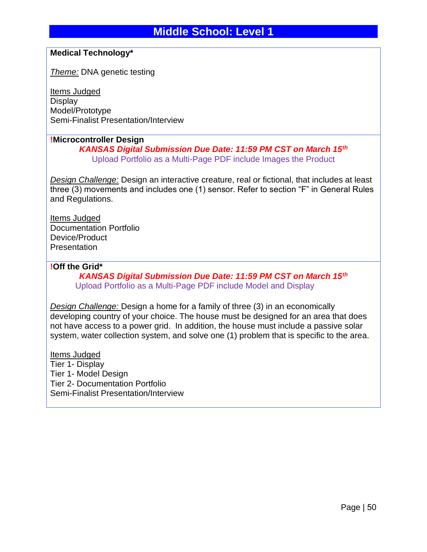# **Medical Technology\***

*Theme:* DNA genetic testing

Items Judged **Display** Model/Prototype Semi-Finalist Presentation/Interview

#### **!Microcontroller Design**

*KANSAS Digital Submission Due Date: 11:59 PM CST on March 15th* Upload Portfolio as a Multi-Page PDF include Images the Product

*Design Challenge:* Design an interactive creature, real or fictional, that includes at least three (3) movements and includes one (1) sensor. Refer to section "F" in General Rules and Regulations.

Items Judged Documentation Portfolio Device/Product Presentation

#### **!Off the Grid\***

*KANSAS Digital Submission Due Date: 11:59 PM CST on March 15th* Upload Portfolio as a Multi-Page PDF include Model and Display

*Design Challenge:* Design a home for a family of three (3) in an economically developing country of your choice. The house must be designed for an area that does not have access to a power grid. In addition, the house must include a passive solar system, water collection system, and solve one (1) problem that is specific to the area.

Items Judged Tier 1- Display Tier 1- Model Design Tier 2- Documentation Portfolio Semi-Finalist Presentation/Interview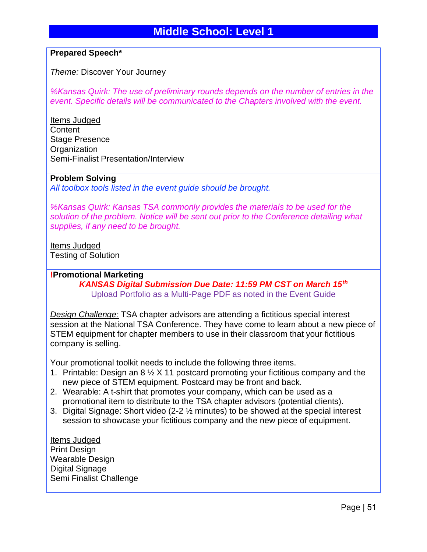# **Prepared Speech\***

*Theme:* Discover Your Journey

*%Kansas Quirk: The use of preliminary rounds depends on the number of entries in the event. Specific details will be communicated to the Chapters involved with the event.* 

Items Judged **Content** Stage Presence **Organization** Semi-Finalist Presentation/Interview

#### **Problem Solving**

*All toolbox tools listed in the event guide should be brought.*

*%Kansas Quirk: Kansas TSA commonly provides the materials to be used for the solution of the problem. Notice will be sent out prior to the Conference detailing what supplies, if any need to be brought.* 

# Items Judged

Testing of Solution

# **!Promotional Marketing** *KANSAS Digital Submission Due Date: 11:59 PM CST on March 15th* Upload Portfolio as a Multi-Page PDF as noted in the Event Guide

*Design Challenge:* TSA chapter advisors are attending a fictitious special interest session at the National TSA Conference. They have come to learn about a new piece of STEM equipment for chapter members to use in their classroom that your fictitious company is selling.

Your promotional toolkit needs to include the following three items.

- 1. Printable: Design an 8 ½ X 11 postcard promoting your fictitious company and the new piece of STEM equipment. Postcard may be front and back.
- 2. Wearable: A t-shirt that promotes your company, which can be used as a promotional item to distribute to the TSA chapter advisors (potential clients).
- 3. Digital Signage: Short video (2-2 ½ minutes) to be showed at the special interest session to showcase your fictitious company and the new piece of equipment.

Items Judged Print Design Wearable Design Digital Signage Semi Finalist Challenge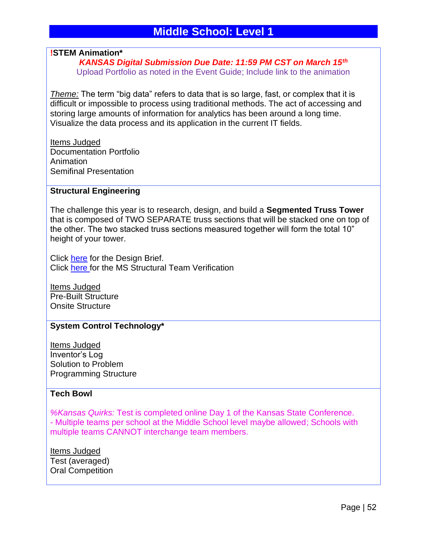#### **!STEM Animation\***

*KANSAS Digital Submission Due Date: 11:59 PM CST on March 15th* Upload Portfolio as noted in the Event Guide; Include link to the animation

*Theme:* The term "big data" refers to data that is so large, fast, or complex that it is difficult or impossible to process using traditional methods. The act of accessing and storing large amounts of information for analytics has been around a long time. Visualize the data process and its application in the current IT fields.

Items Judged Documentation Portfolio Animation Semifinal Presentation

#### **Structural Engineering**

The challenge this year is to research, design, and build a **Segmented Truss Tower** that is composed of TWO SEPARATE truss sections that will be stacked one on top of the other. The two stacked truss sections measured together will form the total 10" height of your tower.

Click [here](https://tsaweb.org/docs/default-source/themes-and-problems-2018-2019/2021-2022/2022-structural-engineering-design-brief.pdf?sfvrsn=34a70674_2) for the Design Brief. Click [here](https://tsaweb.org/docs/default-source/themes-and-problems-2018-2019/2021-2022/ms-structural-engineering-team-verification-form.pdf?sfvrsn=adfc44c8_2) for the MS Structural Team Verification

Items Judged Pre-Built Structure Onsite Structure

#### **System Control Technology\***

Items Judged Inventor's Log Solution to Problem Programming Structure

#### **Tech Bowl**

*%Kansas Quirks:* Test is completed online Day 1 of the Kansas State Conference. - Multiple teams per school at the Middle School level maybe allowed; Schools with multiple teams CANNOT interchange team members.

Items Judged Test (averaged) Oral Competition